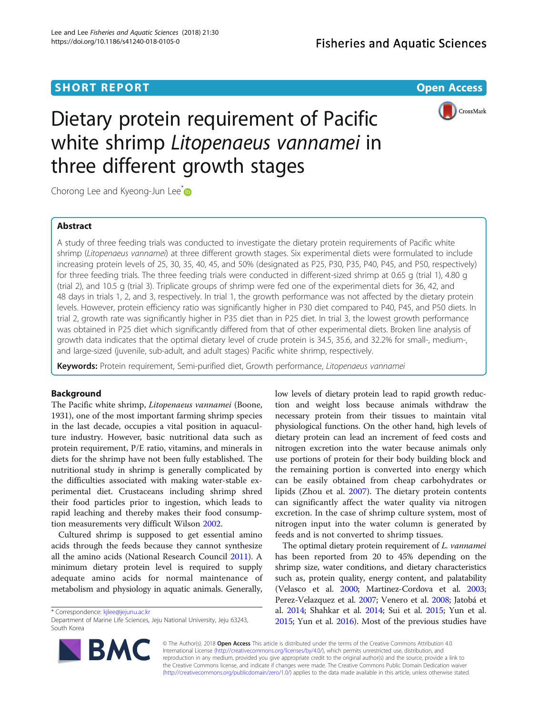## **SHORT REPORT SHORT CONSUMING THE CONSUMING THE CONSUMING THE CONSUMING THE CONSUMING THE CONSUMING THE CONSUMING THE CONSUMING THE CONSUMING THE CONSUMING THE CONSUMING THE CONSUMING THE CONSUMING THE CONSUMING THE CONS**



# Dietary protein requirement of Pacific white shrimp Litopenaeus vannamei in three different growth stages

Chorong Lee and Kyeong-Jun Lee<sup>[\\*](http://orcid.org/0000-0003-0268-578X)</sup>

## Abstract

A study of three feeding trials was conducted to investigate the dietary protein requirements of Pacific white shrimp (Litopenaeus vannamei) at three different growth stages. Six experimental diets were formulated to include increasing protein levels of 25, 30, 35, 40, 45, and 50% (designated as P25, P30, P35, P40, P45, and P50, respectively) for three feeding trials. The three feeding trials were conducted in different-sized shrimp at 0.65 g (trial 1), 4.80 g (trial 2), and 10.5 g (trial 3). Triplicate groups of shrimp were fed one of the experimental diets for 36, 42, and 48 days in trials 1, 2, and 3, respectively. In trial 1, the growth performance was not affected by the dietary protein levels. However, protein efficiency ratio was significantly higher in P30 diet compared to P40, P45, and P50 diets. In trial 2, growth rate was significantly higher in P35 diet than in P25 diet. In trial 3, the lowest growth performance was obtained in P25 diet which significantly differed from that of other experimental diets. Broken line analysis of growth data indicates that the optimal dietary level of crude protein is 34.5, 35.6, and 32.2% for small-, medium-, and large-sized (juvenile, sub-adult, and adult stages) Pacific white shrimp, respectively.

Keywords: Protein requirement, Semi-purified diet, Growth performance, Litopenaeus vannamei

## Background

The Pacific white shrimp, Litopenaeus vannamei (Boone, 1931), one of the most important farming shrimp species in the last decade, occupies a vital position in aquaculture industry. However, basic nutritional data such as protein requirement, P/E ratio, vitamins, and minerals in diets for the shrimp have not been fully established. The nutritional study in shrimp is generally complicated by the difficulties associated with making water-stable experimental diet. Crustaceans including shrimp shred their food particles prior to ingestion, which leads to rapid leaching and thereby makes their food consumption measurements very difficult Wilson [2002](#page-5-0).

Cultured shrimp is supposed to get essential amino acids through the feeds because they cannot synthesize all the amino acids (National Research Council [2011\)](#page-5-0). A minimum dietary protein level is required to supply adequate amino acids for normal maintenance of metabolism and physiology in aquatic animals. Generally,

\* Correspondence: [kjlee@jejunu.ac.kr](mailto:kjlee@jejunu.ac.kr)



The optimal dietary protein requirement of L. vannamei has been reported from 20 to 45% depending on the shrimp size, water conditions, and dietary characteristics such as, protein quality, energy content, and palatability (Velasco et al. [2000](#page-5-0); Martinez-Cordova et al. [2003](#page-5-0); Perez-Velazquez et al. [2007;](#page-5-0) Venero et al. [2008](#page-5-0); Jatobá et al. [2014](#page-5-0); Shahkar et al. [2014;](#page-5-0) Sui et al. [2015;](#page-5-0) Yun et al. [2015](#page-5-0); Yun et al. [2016\)](#page-5-0). Most of the previous studies have



© The Author(s). 2018 Open Access This article is distributed under the terms of the Creative Commons Attribution 4.0 International License [\(http://creativecommons.org/licenses/by/4.0/](http://creativecommons.org/licenses/by/4.0/)), which permits unrestricted use, distribution, and reproduction in any medium, provided you give appropriate credit to the original author(s) and the source, provide a link to the Creative Commons license, and indicate if changes were made. The Creative Commons Public Domain Dedication waiver [\(http://creativecommons.org/publicdomain/zero/1.0/](http://creativecommons.org/publicdomain/zero/1.0/)) applies to the data made available in this article, unless otherwise stated.

Department of Marine Life Sciences, Jeju National University, Jeju 63243, South Korea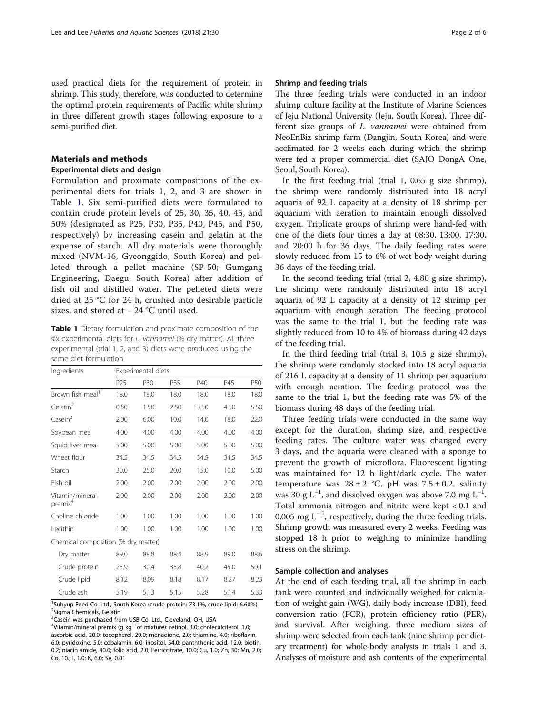used practical diets for the requirement of protein in shrimp. This study, therefore, was conducted to determine the optimal protein requirements of Pacific white shrimp in three different growth stages following exposure to a semi-purified diet.

### Materials and methods

## Experimental diets and design

Formulation and proximate compositions of the experimental diets for trials 1, 2, and 3 are shown in Table 1. Six semi-purified diets were formulated to contain crude protein levels of 25, 30, 35, 40, 45, and 50% (designated as P25, P30, P35, P40, P45, and P50, respectively) by increasing casein and gelatin at the expense of starch. All dry materials were thoroughly mixed (NVM-16, Gyeonggido, South Korea) and pelleted through a pellet machine (SP-50; Gumgang Engineering, Daegu, South Korea) after addition of fish oil and distilled water. The pelleted diets were dried at 25 °C for 24 h, crushed into desirable particle sizes, and stored at − 24 °C until used.

Table 1 Dietary formulation and proximate composition of the six experimental diets for L. vannamei (% dry matter). All three experimental (trial 1, 2, and 3) diets were produced using the same diet formulation

| Ingredients                            | Experimental diets |      |      |      |      |      |  |
|----------------------------------------|--------------------|------|------|------|------|------|--|
|                                        | P <sub>25</sub>    | P30  | P35  | P40  | P45  | P50  |  |
| Brown fish meal <sup>1</sup>           | 18.0               | 18.0 | 18.0 | 18.0 | 18.0 | 18.0 |  |
| Gelatin $2$                            | 0.50               | 1.50 | 2.50 | 3.50 | 4.50 | 5.50 |  |
| Casein <sup>3</sup>                    | 2.00               | 6.00 | 10.0 | 14.0 | 18.0 | 22.0 |  |
| Soybean meal                           | 4.00               | 4.00 | 4.00 | 4.00 | 4.00 | 4.00 |  |
| Squid liver meal                       | 5.00               | 5.00 | 5.00 | 5.00 | 5.00 | 5.00 |  |
| Wheat flour                            | 34.5               | 34.5 | 34.5 | 34.5 | 34.5 | 34.5 |  |
| Starch                                 | 30.0               | 25.0 | 20.0 | 15.0 | 10.0 | 5.00 |  |
| Fish oil                               | 2.00               | 2.00 | 2.00 | 2.00 | 2.00 | 2.00 |  |
| Vitamin/mineral<br>premix <sup>4</sup> | 2.00               | 2.00 | 2.00 | 2.00 | 2.00 | 2.00 |  |
| Choline chloride                       | 1.00               | 1.00 | 1.00 | 1.00 | 1.00 | 1.00 |  |
| Lecithin                               | 1.00               | 1.00 | 1.00 | 1.00 | 1.00 | 1.00 |  |
| Chemical composition (% dry matter)    |                    |      |      |      |      |      |  |
| Dry matter                             | 89.0               | 88.8 | 88.4 | 88.9 | 89.0 | 88.6 |  |
| Crude protein                          | 25.9               | 30.4 | 35.8 | 40.2 | 45.0 | 50.1 |  |
| Crude lipid                            | 8.12               | 8.09 | 8.18 | 8.17 | 8.27 | 8.23 |  |
| Crude ash                              | 5.19               | 5.13 | 5.15 | 5.28 | 5.14 | 5.33 |  |

<sup>1</sup>Suhyup Feed Co. Ltd., South Korea (crude protein: 73.1%, crude lipid: 6.60%) <sup>2</sup>Sigma Chemicals, Gelatin

<sup>3</sup> Casein was purchased from USB Co. Ltd., Cleveland, OH, USA

 $^4$ Vitamin/mineral premix (g kg $^{-1}$ of mixture): retinol, 3.0; cholecalciferol, 1.0; ascorbic acid, 20.0; tocopherol, 20.0; menadione, 2.0; thiamine, 4.0; riboflavin, 6.0; pyridoxine, 5.0; cobalamin, 6.0; inositol, 54.0; panththenic acid, 12.0; biotin, 0.2; niacin amide, 40.0; folic acid, 2.0; Ferriccitrate, 10.0; Cu, 1.0; Zn, 30; Mn, 2.0; Co, 10.; I, 1.0; K, 6.0; Se, 0.01

## Shrimp and feeding trials

The three feeding trials were conducted in an indoor shrimp culture facility at the Institute of Marine Sciences of Jeju National University (Jeju, South Korea). Three different size groups of L. vannamei were obtained from NeoEnBiz shrimp farm (Dangjin, South Korea) and were acclimated for 2 weeks each during which the shrimp were fed a proper commercial diet (SAJO DongA One, Seoul, South Korea).

In the first feeding trial (trial 1, 0.65 g size shrimp), the shrimp were randomly distributed into 18 acryl aquaria of 92 L capacity at a density of 18 shrimp per aquarium with aeration to maintain enough dissolved oxygen. Triplicate groups of shrimp were hand-fed with one of the diets four times a day at 08:30, 13:00, 17:30, and 20:00 h for 36 days. The daily feeding rates were slowly reduced from 15 to 6% of wet body weight during 36 days of the feeding trial.

In the second feeding trial (trial 2, 4.80 g size shrimp), the shrimp were randomly distributed into 18 acryl aquaria of 92 L capacity at a density of 12 shrimp per aquarium with enough aeration. The feeding protocol was the same to the trial 1, but the feeding rate was slightly reduced from 10 to 4% of biomass during 42 days of the feeding trial.

In the third feeding trial (trial 3, 10.5 g size shrimp), the shrimp were randomly stocked into 18 acryl aquaria of 216 L capacity at a density of 11 shrimp per aquarium with enough aeration. The feeding protocol was the same to the trial 1, but the feeding rate was 5% of the biomass during 48 days of the feeding trial.

Three feeding trials were conducted in the same way except for the duration, shrimp size, and respective feeding rates. The culture water was changed every 3 days, and the aquaria were cleaned with a sponge to prevent the growth of microflora. Fluorescent lighting was maintained for 12 h light/dark cycle. The water temperature was  $28 \pm 2$  °C, pH was  $7.5 \pm 0.2$ , salinity was 30 g L<sup>-1</sup>, and dissolved oxygen was above 7.0 mg L<sup>-1</sup>. Total ammonia nitrogen and nitrite were kept < 0.1 and 0.005 mg L<sup>-1</sup>, respectively, during the three feeding trials. Shrimp growth was measured every 2 weeks. Feeding was stopped 18 h prior to weighing to minimize handling stress on the shrimp.

## Sample collection and analyses

At the end of each feeding trial, all the shrimp in each tank were counted and individually weighed for calculation of weight gain (WG), daily body increase (DBI), feed conversion ratio (FCR), protein efficiency ratio (PER), and survival. After weighing, three medium sizes of shrimp were selected from each tank (nine shrimp per dietary treatment) for whole-body analysis in trials 1 and 3. Analyses of moisture and ash contents of the experimental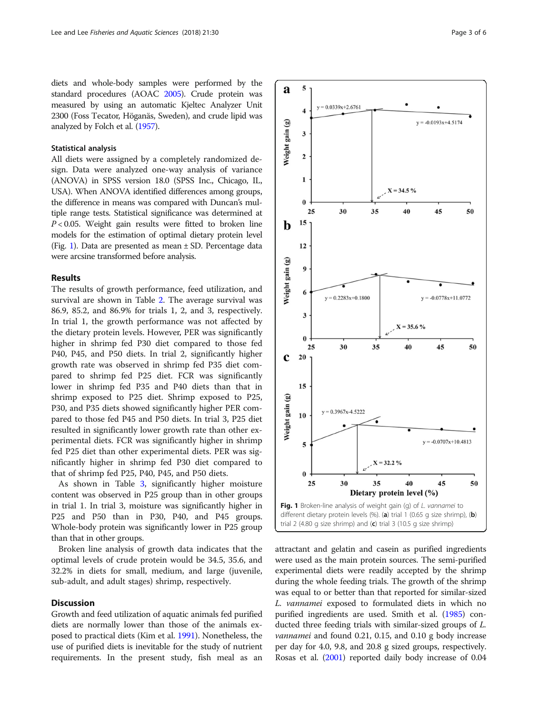diets and whole-body samples were performed by the standard procedures (AOAC [2005\)](#page-5-0). Crude protein was measured by using an automatic Kjeltec Analyzer Unit 2300 (Foss Tecator, Höganäs, Sweden), and crude lipid was analyzed by Folch et al. [\(1957\)](#page-5-0).

## Statistical analysis

All diets were assigned by a completely randomized design. Data were analyzed one-way analysis of variance (ANOVA) in SPSS version 18.0 (SPSS Inc., Chicago, IL, USA). When ANOVA identified differences among groups, the difference in means was compared with Duncan's multiple range tests. Statistical significance was determined at  $P < 0.05$ . Weight gain results were fitted to broken line models for the estimation of optimal dietary protein level (Fig. 1). Data are presented as mean ± SD. Percentage data were arcsine transformed before analysis.

#### Results

The results of growth performance, feed utilization, and survival are shown in Table [2.](#page-3-0) The average survival was 86.9, 85.2, and 86.9% for trials 1, 2, and 3, respectively. In trial 1, the growth performance was not affected by the dietary protein levels. However, PER was significantly higher in shrimp fed P30 diet compared to those fed P40, P45, and P50 diets. In trial 2, significantly higher growth rate was observed in shrimp fed P35 diet compared to shrimp fed P25 diet. FCR was significantly lower in shrimp fed P35 and P40 diets than that in shrimp exposed to P25 diet. Shrimp exposed to P25, P30, and P35 diets showed significantly higher PER compared to those fed P45 and P50 diets. In trial 3, P25 diet resulted in significantly lower growth rate than other experimental diets. FCR was significantly higher in shrimp fed P25 diet than other experimental diets. PER was significantly higher in shrimp fed P30 diet compared to that of shrimp fed P25, P40, P45, and P50 diets.

As shown in Table [3](#page-3-0), significantly higher moisture content was observed in P25 group than in other groups in trial 1. In trial 3, moisture was significantly higher in P25 and P50 than in P30, P40, and P45 groups. Whole-body protein was significantly lower in P25 group than that in other groups.

Broken line analysis of growth data indicates that the optimal levels of crude protein would be 34.5, 35.6, and 32.2% in diets for small, medium, and large (juvenile, sub-adult, and adult stages) shrimp, respectively.

#### **Discussion**

Growth and feed utilization of aquatic animals fed purified diets are normally lower than those of the animals exposed to practical diets (Kim et al. [1991\)](#page-5-0). Nonetheless, the use of purified diets is inevitable for the study of nutrient requirements. In the present study, fish meal as an



attractant and gelatin and casein as purified ingredients were used as the main protein sources. The semi-purified experimental diets were readily accepted by the shrimp during the whole feeding trials. The growth of the shrimp was equal to or better than that reported for similar-sized L. vannamei exposed to formulated diets in which no purified ingredients are used. Smith et al. ([1985\)](#page-5-0) conducted three feeding trials with similar-sized groups of L. vannamei and found 0.21, 0.15, and 0.10 g body increase per day for 4.0, 9.8, and 20.8 g sized groups, respectively. Rosas et al. [\(2001\)](#page-5-0) reported daily body increase of 0.04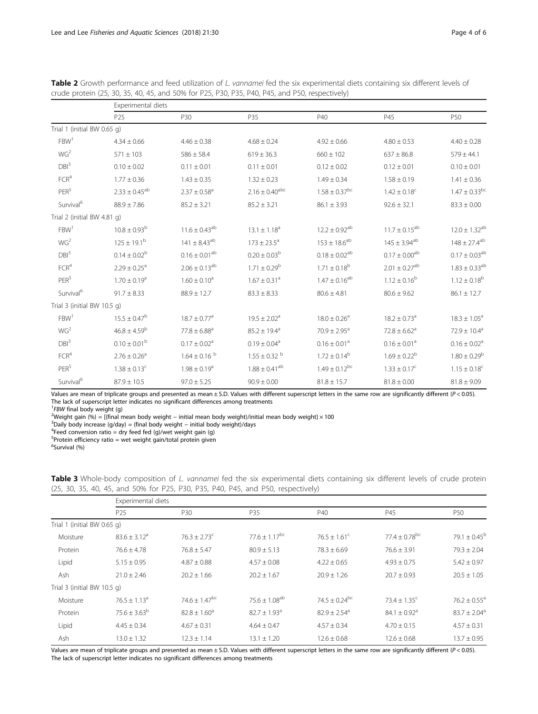|                             |                              | Experimental diets           |                               |                               |                               |                               |  |  |
|-----------------------------|------------------------------|------------------------------|-------------------------------|-------------------------------|-------------------------------|-------------------------------|--|--|
|                             | P25                          | P30                          | P35                           | P40                           | P45                           | P50                           |  |  |
| Trial 1 (initial BW 0.65 g) |                              |                              |                               |                               |                               |                               |  |  |
| FBW <sup>1</sup>            | $4.34 \pm 0.66$              | $4.46 \pm 0.38$              | $4.68 \pm 0.24$               | $4.92 \pm 0.66$               | $4.80 \pm 0.53$               | $4.40 \pm 0.28$               |  |  |
| WG <sup>2</sup>             | $571 \pm 103$                | $586 \pm 58.4$               | $619 \pm 36.3$                | $660 \pm 102$                 | $637 \pm 86.8$                | $579 \pm 44.1$                |  |  |
| DBI <sup>3</sup>            | $0.10 \pm 0.02$              | $0.11 \pm 0.01$              | $0.11 \pm 0.01$               | $0.12 \pm 0.02$               | $0.12 \pm 0.01$               | $0.10 \pm 0.01$               |  |  |
| FCR <sup>4</sup>            | $1.77 \pm 0.36$              | $1.43 \pm 0.35$              | $1.32 \pm 0.23$               | $1.49 \pm 0.34$               | $1.58 \pm 0.19$               | $1.41 \pm 0.36$               |  |  |
| PER <sup>5</sup>            | $2.33 \pm 0.45^{ab}$         | $2.37 \pm 0.58$ <sup>a</sup> | $2.16 \pm 0.40^{\rm abc}$     | $1.58 \pm 0.37$ <sup>bc</sup> | $1.42 \pm 0.18^c$             | $1.47 \pm 0.33$ <sup>bc</sup> |  |  |
| Survival <sup>6</sup>       | $88.9 \pm 7.86$              | $85.2 \pm 3.21$              | $85.2 \pm 3.21$               | $86.1 \pm 3.93$               | $92.6 \pm 32.1$               | $83.3 \pm 0.00$               |  |  |
| Trial 2 (initial BW 4.81 g) |                              |                              |                               |                               |                               |                               |  |  |
| FBW <sup>1</sup>            | $10.8 \pm 0.93^{\rm b}$      | $11.6 \pm 0.43^{ab}$         | $13.1 \pm 1.18^a$             | $12.2 \pm 0.92^{ab}$          | $11.7 \pm 0.15^{ab}$          | $12.0 \pm 1.32^{ab}$          |  |  |
| WG <sup>2</sup>             | $125 \pm 19.1^{\rm b}$       | $141 \pm 8.43^{ab}$          | $173 \pm 23.5^{\circ}$        | $153 \pm 18.6^{ab}$           | $145 \pm 3.94^{ab}$           | $148 \pm 27.4^{ab}$           |  |  |
| DBI <sup>3</sup>            | $0.14 \pm 0.02^b$            | $0.16 \pm 0.01^{ab}$         | $0.20 \pm 0.03^b$             | $0.18 \pm 0.02^{ab}$          | $0.17 \pm 0.00^{ab}$          | $0.17 \pm 0.03^{ab}$          |  |  |
| FCR <sup>4</sup>            | $2.29 \pm 0.25$ <sup>a</sup> | $2.06 \pm 0.13^{ab}$         | $1.71 \pm 0.29^b$             | $1.71 \pm 0.18^b$             | $2.01 \pm 0.27$ <sup>ab</sup> | $1.83 \pm 0.33^{ab}$          |  |  |
| PER <sup>5</sup>            | $1.70 \pm 0.19$ <sup>a</sup> | $1.60 \pm 0.10^a$            | $1.67 \pm 0.31$ <sup>a</sup>  | $1.47 \pm 0.16^{ab}$          | $1.12 \pm 0.16^b$             | $1.12 \pm 0.18^{\rm b}$       |  |  |
| Survival <sup>6</sup>       | $91.7 \pm 8.33$              | $88.9 \pm 12.7$              | $83.3 \pm 8.33$               | $80.6 \pm 4.81$               | $80.6 \pm 9.62$               | $86.1 \pm 12.7$               |  |  |
| Trial 3 (initial BW 10.5 g) |                              |                              |                               |                               |                               |                               |  |  |
| FBW <sup>1</sup>            | $15.5 \pm 0.47^b$            | $18.7 \pm 0.77$ <sup>a</sup> | $19.5 \pm 2.02^a$             | $18.0 \pm 0.26$ <sup>a</sup>  | $18.2 \pm 0.73$ <sup>a</sup>  | $18.3 \pm 1.05^a$             |  |  |
| WG <sup>2</sup>             | $46.8 \pm 4.59^b$            | $77.8 \pm 6.88^a$            | $85.2 \pm 19.4^a$             | $70.9 \pm 2.95$ <sup>a</sup>  | $72.8 \pm 6.62$ <sup>a</sup>  | $72.9 \pm 10.4^a$             |  |  |
| DBI <sup>3</sup>            | $0.10 \pm 0.01^{\rm b}$      | $0.17 \pm 0.02$ <sup>a</sup> | $0.19 \pm 0.04$ <sup>a</sup>  | $0.16 \pm 0.01$ <sup>a</sup>  | $0.16 \pm 0.01^a$             | $0.16 \pm 0.02$ <sup>a</sup>  |  |  |
| FCR <sup>4</sup>            | $2.76 \pm 0.26$ <sup>a</sup> | $1.64 \pm 0.16$ b            | $1.55 \pm 0.32$ b             | $1.72 \pm 0.14^b$             | $1.69 \pm 0.22^b$             | $1.80 \pm 0.29^b$             |  |  |
| PER <sup>5</sup>            | $1.38 \pm 0.13$ <sup>c</sup> | $1.98 \pm 0.19$ <sup>a</sup> | $1.88 \pm 0.41$ <sup>ab</sup> | $1.49 \pm 0.12^{bc}$          | $1.33 \pm 0.17^c$             | $1.15 \pm 0.18$ <sup>c</sup>  |  |  |
| Survival <sup>6</sup>       | $87.9 \pm 10.5$              | $97.0 \pm 5.25$              | $90.9 \pm 0.00$               | $81.8 \pm 15.7$               | $81.8 \pm 0.00$               | $81.8 \pm 9.09$               |  |  |

<span id="page-3-0"></span>Table 2 Growth performance and feed utilization of L. vannamei fed the six experimental diets containing six different levels of crude protein (25, 30, 35, 40, 45, and 50% for P25, P30, P35, P40, P45, and P50, respectively)

Values are mean of triplicate groups and presented as mean ± S.D. Values with different superscript letters in the same row are significantly different (P < 0.05). The lack of superscript letter indicates no significant differences among treatments

<sup>1</sup>*FBW* final body weight (g)<sup>2</sup>Weight (asset for  $(96)$  =  $1/f$ inal r

<sup>2</sup>Weight gain (%) = [(final mean body weight − initial mean body weight)/initial mean body weight] × 100

 $3$ Daily body increase (g/day) = (final body weight – initial body weight)/days

<sup>4</sup>Feed conversion ratio = dry feed fed (g)/wet weight gain (g)

<sup>5</sup>Protein efficiency ratio = wet weight gain/total protein given

6 Survival (%)

| (23, 30, 33, 40, 43, and 3070 for 123, 130, 133, 140, 143, and 130, itspectively) |                    |                               |                               |                               |                               |                              |  |  |
|-----------------------------------------------------------------------------------|--------------------|-------------------------------|-------------------------------|-------------------------------|-------------------------------|------------------------------|--|--|
|                                                                                   | Experimental diets |                               |                               |                               |                               |                              |  |  |
|                                                                                   | P <sub>25</sub>    | P30                           | P35                           | P40                           | P45                           | P <sub>50</sub>              |  |  |
| Trial 1 (initial BW 0.65 g)                                                       |                    |                               |                               |                               |                               |                              |  |  |
| Moisture                                                                          | $83.6 \pm 3.12^a$  | $76.3 + 2.73^{\circ}$         | $77.6 \pm 1.17$ <sup>bc</sup> | $76.5 \pm 1.61^{\circ}$       | $77.4 \pm 0.78$ <sup>bc</sup> | 79.1 $\pm$ 0.45 <sup>b</sup> |  |  |
| Protein                                                                           | $76.6 + 4.78$      | $76.8 + 5.47$                 | $80.9 \pm 5.13$               | $78.3 \pm 6.69$               | $76.6 \pm 3.91$               | $79.3 \pm 2.04$              |  |  |
| Lipid                                                                             | $5.15 \pm 0.95$    | $4.87 \pm 0.88$               | $4.57 \pm 0.08$               | $4.22 \pm 0.65$               | $4.93 \pm 0.75$               | $5.42 \pm 0.97$              |  |  |
| Ash                                                                               | $21.0 + 2.46$      | $20.2 + 1.66$                 | $20.2 + 1.67$                 | $20.9 + 1.26$                 | $20.7 + 0.93$                 | $20.5 + 1.05$                |  |  |
| Trial 3 (initial BW 10.5 g)                                                       |                    |                               |                               |                               |                               |                              |  |  |
| Moisture                                                                          | $76.5 + 1.13a$     | $74.6 \pm 1.47$ <sup>bc</sup> | $75.6 \pm 1.08$ <sup>ab</sup> | $74.5 \pm 0.24$ <sup>bc</sup> | $73.4 \pm 1.35^{\circ}$       | $76.2 \pm 0.55^a$            |  |  |

Table 3 Whole-body composition of L. vannamei fed the six experimental diets containing six different levels of crude protein (25, 30, 35, 40, 45, and 50% for P25, P30, P35, P40, P45, and P50, respectively)

Values are mean of triplicate groups and presented as mean ± S.D. Values with different superscript letters in the same row are significantly different (P < 0.05). The lack of superscript letter indicates no significant differences among treatments

Protein  $75.6 \pm 3.63^b$   $82.8 \pm 1.60^a$   $82.7 \pm 1.93^a$   $82.9 \pm 2.54^a$   $84.1 \pm 0.92^a$   $83.7 \pm 2.04^a$ Lipid  $4.45 \pm 0.34$   $4.67 \pm 0.31$   $4.64 \pm 0.47$   $4.57 \pm 0.34$   $4.70 \pm 0.15$   $4.57 \pm 0.31$ Ash 13.0 ± 1.32 12.3 ± 1.14 1.31 ± 1.20 12.6 ± 0.68 12.6 ± 0.68 13.7 ± 0.95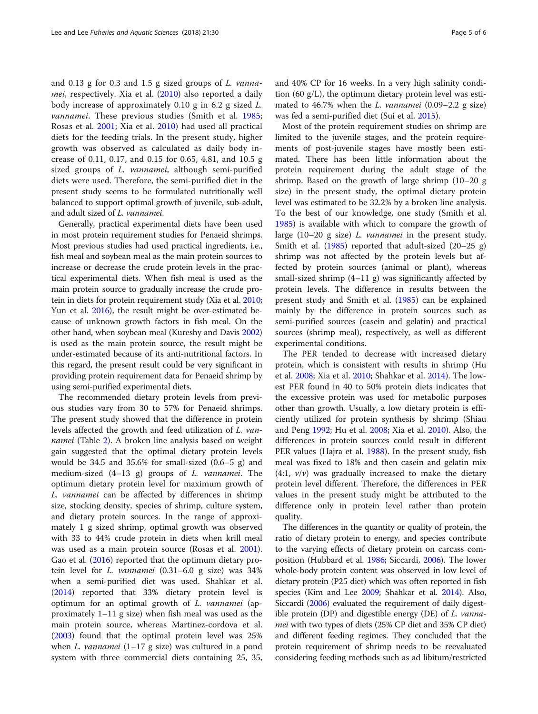and 0.13 g for 0.3 and 1.5 g sized groups of L. vannamei, respectively. Xia et al. [\(2010](#page-5-0)) also reported a daily body increase of approximately 0.10 g in 6.2 g sized L. *vannamei*. These previous studies (Smith et al. [1985](#page-5-0); Rosas et al. [2001;](#page-5-0) Xia et al. [2010](#page-5-0)) had used all practical diets for the feeding trials. In the present study, higher growth was observed as calculated as daily body increase of 0.11, 0.17, and 0.15 for 0.65, 4.81, and 10.5 g sized groups of *L. vannamei*, although semi-purified diets were used. Therefore, the semi-purified diet in the present study seems to be formulated nutritionally well balanced to support optimal growth of juvenile, sub-adult, and adult sized of L. vannamei.

Generally, practical experimental diets have been used in most protein requirement studies for Penaeid shrimps. Most previous studies had used practical ingredients, i.e., fish meal and soybean meal as the main protein sources to increase or decrease the crude protein levels in the practical experimental diets. When fish meal is used as the main protein source to gradually increase the crude protein in diets for protein requirement study (Xia et al. [2010](#page-5-0); Yun et al. [2016](#page-5-0)), the result might be over-estimated because of unknown growth factors in fish meal. On the other hand, when soybean meal (Kureshy and Davis [2002](#page-5-0)) is used as the main protein source, the result might be under-estimated because of its anti-nutritional factors. In this regard, the present result could be very significant in providing protein requirement data for Penaeid shrimp by using semi-purified experimental diets.

The recommended dietary protein levels from previous studies vary from 30 to 57% for Penaeid shrimps. The present study showed that the difference in protein levels affected the growth and feed utilization of L. vannamei (Table [2](#page-3-0)). A broken line analysis based on weight gain suggested that the optimal dietary protein levels would be 34.5 and 35.6% for small-sized (0.6–5 g) and medium-sized (4–13 g) groups of L. vannamei. The optimum dietary protein level for maximum growth of L. vannamei can be affected by differences in shrimp size, stocking density, species of shrimp, culture system, and dietary protein sources. In the range of approximately 1 g sized shrimp, optimal growth was observed with 33 to 44% crude protein in diets when krill meal was used as a main protein source (Rosas et al. [2001](#page-5-0)). Gao et al. [\(2016](#page-5-0)) reported that the optimum dietary protein level for L. vannamei (0.31–6.0 g size) was 34% when a semi-purified diet was used. Shahkar et al. ([2014](#page-5-0)) reported that 33% dietary protein level is optimum for an optimal growth of L. vannamei (approximately 1–11 g size) when fish meal was used as the main protein source, whereas Martinez-cordova et al. ([2003](#page-5-0)) found that the optimal protein level was 25% when L. vannamei  $(1-17 \text{ g size})$  was cultured in a pond system with three commercial diets containing 25, 35, and 40% CP for 16 weeks. In a very high salinity condition (60 g/L), the optimum dietary protein level was estimated to 46.7% when the L. vannamei  $(0.09-2.2 \text{ g size})$ was fed a semi-purified diet (Sui et al. [2015](#page-5-0)).

Most of the protein requirement studies on shrimp are limited to the juvenile stages, and the protein requirements of post-juvenile stages have mostly been estimated. There has been little information about the protein requirement during the adult stage of the shrimp. Based on the growth of large shrimp (10–20 g size) in the present study, the optimal dietary protein level was estimated to be 32.2% by a broken line analysis. To the best of our knowledge, one study (Smith et al. [1985](#page-5-0)) is available with which to compare the growth of large (10–20 g size) L. vannamei in the present study. Smith et al. ([1985\)](#page-5-0) reported that adult-sized (20–25 g) shrimp was not affected by the protein levels but affected by protein sources (animal or plant), whereas small-sized shrimp  $(4-11 \text{ g})$  was significantly affected by protein levels. The difference in results between the present study and Smith et al. ([1985](#page-5-0)) can be explained mainly by the difference in protein sources such as semi-purified sources (casein and gelatin) and practical sources (shrimp meal), respectively, as well as different experimental conditions.

The PER tended to decrease with increased dietary protein, which is consistent with results in shrimp (Hu et al. [2008;](#page-5-0) Xia et al. [2010](#page-5-0); Shahkar et al. [2014](#page-5-0)). The lowest PER found in 40 to 50% protein diets indicates that the excessive protein was used for metabolic purposes other than growth. Usually, a low dietary protein is efficiently utilized for protein synthesis by shrimp (Shiau and Peng [1992;](#page-5-0) Hu et al. [2008](#page-5-0); Xia et al. [2010\)](#page-5-0). Also, the differences in protein sources could result in different PER values (Hajra et al. [1988\)](#page-5-0). In the present study, fish meal was fixed to 18% and then casein and gelatin mix  $(4:1, v/v)$  was gradually increased to make the dietary protein level different. Therefore, the differences in PER values in the present study might be attributed to the difference only in protein level rather than protein quality.

The differences in the quantity or quality of protein, the ratio of dietary protein to energy, and species contribute to the varying effects of dietary protein on carcass composition (Hubbard et al. [1986;](#page-5-0) Siccardi, [2006](#page-5-0)). The lower whole-body protein content was observed in low level of dietary protein (P25 diet) which was often reported in fish species (Kim and Lee [2009;](#page-5-0) Shahkar et al. [2014\)](#page-5-0). Also, Siccardi ([2006](#page-5-0)) evaluated the requirement of daily digestible protein (DP) and digestible energy (DE) of L. vannamei with two types of diets (25% CP diet and 35% CP diet) and different feeding regimes. They concluded that the protein requirement of shrimp needs to be reevaluated considering feeding methods such as ad libitum/restricted